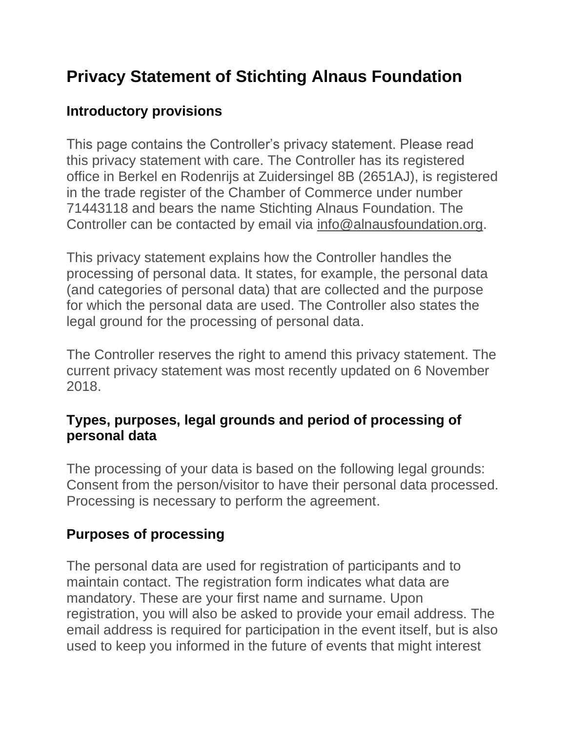# **Privacy Statement of Stichting Alnaus Foundation**

#### **Introductory provisions**

This page contains the Controller's privacy statement. Please read this privacy statement with care. The Controller has its registered office in Berkel en Rodenrijs at Zuidersingel 8B (2651AJ), is registered in the trade register of the Chamber of Commerce under number 71443118 and bears the name Stichting Alnaus Foundation. The Controller can be contacted by email via [info@alnausfoundation.org.](mailto:info@alnausfoundation.org)

This privacy statement explains how the Controller handles the processing of personal data. It states, for example, the personal data (and categories of personal data) that are collected and the purpose for which the personal data are used. The Controller also states the legal ground for the processing of personal data.

The Controller reserves the right to amend this privacy statement. The current privacy statement was most recently updated on 6 November 2018.

#### **Types, purposes, legal grounds and period of processing of personal data**

The processing of your data is based on the following legal grounds: Consent from the person/visitor to have their personal data processed. Processing is necessary to perform the agreement.

#### **Purposes of processing**

The personal data are used for registration of participants and to maintain contact. The registration form indicates what data are mandatory. These are your first name and surname. Upon registration, you will also be asked to provide your email address. The email address is required for participation in the event itself, but is also used to keep you informed in the future of events that might interest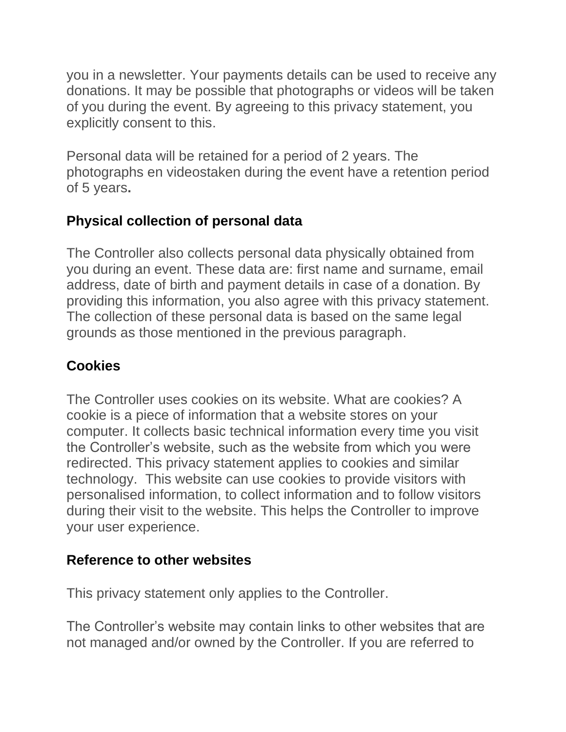you in a newsletter. Your payments details can be used to receive any donations. It may be possible that photographs or videos will be taken of you during the event. By agreeing to this privacy statement, you explicitly consent to this.

Personal data will be retained for a period of 2 years. The photographs en videostaken during the event have a retention period of 5 years**.**

# **Physical collection of personal data**

The Controller also collects personal data physically obtained from you during an event. These data are: first name and surname, email address, date of birth and payment details in case of a donation. By providing this information, you also agree with this privacy statement. The collection of these personal data is based on the same legal grounds as those mentioned in the previous paragraph.

# **Cookies**

The Controller uses cookies on its website. What are cookies? A cookie is a piece of information that a website stores on your computer. It collects basic technical information every time you visit the Controller's website, such as the website from which you were redirected. This privacy statement applies to cookies and similar technology. This website can use cookies to provide visitors with personalised information, to collect information and to follow visitors during their visit to the website. This helps the Controller to improve your user experience.

#### **Reference to other websites**

This privacy statement only applies to the Controller.

The Controller's website may contain links to other websites that are not managed and/or owned by the Controller. If you are referred to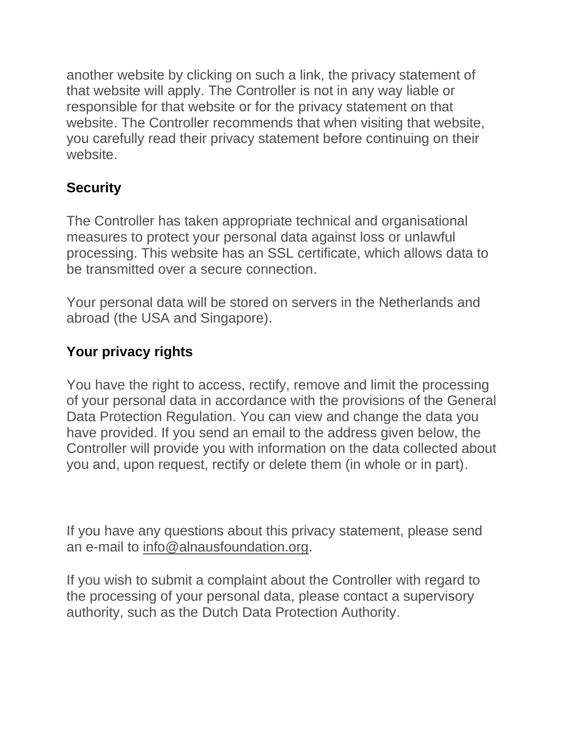another website by clicking on such a link, the privacy statement of that website will apply. The Controller is not in any way liable or responsible for that website or for the privacy statement on that website. The Controller recommends that when visiting that website, you carefully read their privacy statement before continuing on their website.

# **Security**

The Controller has taken appropriate technical and organisational measures to protect your personal data against loss or unlawful processing. This website has an SSL certificate, which allows data to be transmitted over a secure connection.

Your personal data will be stored on servers in the Netherlands and abroad (the USA and Singapore).

# **Your privacy rights**

You have the right to access, rectify, remove and limit the processing of your personal data in accordance with the provisions of the General Data Protection Regulation. You can view and change the data you have provided. If you send an email to the address given below, the Controller will provide you with information on the data collected about you and, upon request, rectify or delete them (in whole or in part).

If you have any questions about this privacy statement, please send an e-mail to [info@alnausfoundation.org.](mailto:info@alnausfoundation.org)

If you wish to submit a complaint about the Controller with regard to the processing of your personal data, please contact a supervisory authority, such as the Dutch Data Protection Authority.